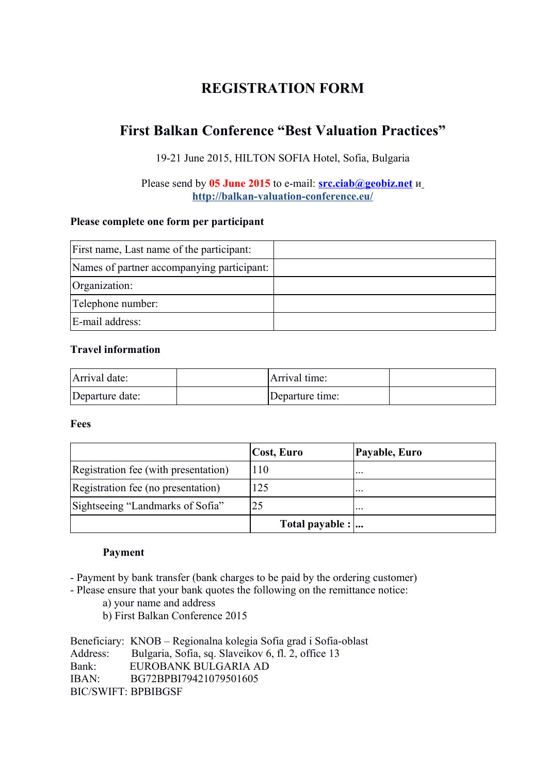# **REGISTRATION FORM**

# **First Balkan Conference "Best Valuation Practices"**

19-21 June 2015, HILTON SOFIA Hotel, Sofia, Bulgaria

Please send by **05 June 2015** to e-mail: **[src.ciab@geobiz.net](mailto:src.ciab@geobiz.net)** и **<http://balkan-valuation-conference.eu/>**

## **Please complete one form per participant**

| First name, Last name of the participant:  |  |
|--------------------------------------------|--|
| Names of partner accompanying participant: |  |
| Organization:                              |  |
| Telephone number:                          |  |
| E-mail address:                            |  |

## **Travel information**

| Arrival date:   | Arrival time:   |  |
|-----------------|-----------------|--|
| Departure date: | Departure time: |  |

**Fees**

|                                      | Cost, Euro      | Payable, Euro        |
|--------------------------------------|-----------------|----------------------|
| Registration fee (with presentation) | 110             | $\sim$ $\sim$ $\sim$ |
| Registration fee (no presentation)   | 125             | $\ddots$             |
| Sightseeing "Landmarks of Sofia"     | 25              | $\ddotsc$            |
|                                      | Total payable : |                      |

## **Payment**

- Payment by bank transfer (bank charges to be paid by the ordering customer)

- Please ensure that your bank quotes the following on the remittance notice:

- a) your name and address
- b) First Balkan Conference 2015

Beneficiary: KNOB – Regionalna kolegia Sofia grad i Sofia-oblast Address: Bulgaria, Sofia, sq. Slaveikov 6, fl. 2, office 13 Bank: EUROBANK BULGARIA AD IBAN: BG72BPBI79421079501605 BIС/SWIFT: BPBIBGSF